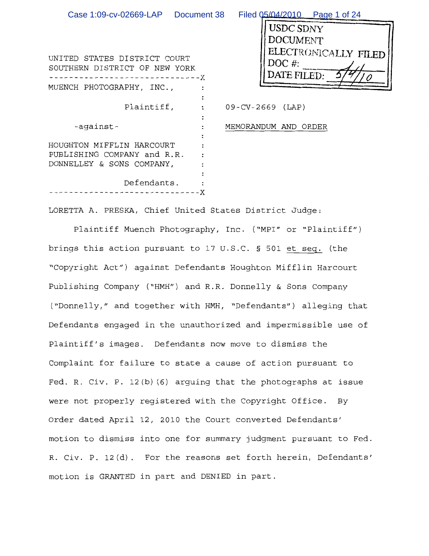| Case 1:09-cv-02669-LAP Document 38                            |            | Filed 05/04/2010  Page 1 of 24                  |
|---------------------------------------------------------------|------------|-------------------------------------------------|
|                                                               |            | <b>USDC SDNY</b><br><b>DOCUMENT</b>             |
| UNITED STATES DISTRICT COURT<br>SOUTHERN DISTRICT OF NEW YORK | $--- - -X$ | ELECTRONICALLY FILED<br>$DOC$ #:<br>DATE FILED: |
| MUENCH PHOTOGRAPHY, INC.,                                     |            |                                                 |
| Plaintiff,                                                    |            | $09$ -CV-2669 (LAP)                             |
| -against-                                                     |            | MEMORANDUM AND ORDER                            |
| HOUGHTON MIFFLIN HARCOURT<br>PUBLISHING COMPANY and R.R.      |            |                                                 |
| DONNELLEY & SONS COMPANY,                                     |            |                                                 |
| Defendants.                                                   | TT.        |                                                 |

LORETTA A. PRESKA, Chief United States District Judge:

Plaintiff Muench Photography, Inc. ("MPI" or "Plaintiff") brings this action pursuant to 17 U.S.C. § 501 et seq. (the "Copyright Act") against Defendants Houghton Mifflin Harcourt Publishing Company ("HMH") and R.R. Donnelly & Sons Company ("Donnelly," and together with HMH, "Defendants") alleging that Defendants engaged in the unauthorized and impermissible use of Plaintiff's images. Defendants now move to dismiss the Complaint for failure to state a cause of action pursuant to Fed. R. Civ. P. 12(b)(6) arguing that the photographs at issue were not properly registered with the Copyright Office. By Order dated April 12, 2010 the Court converted Defendants' motion to dismiss into one for summary judgment pursuant to Fed. R. Civ. P. 12(d). For the reasons set forth herein, Defendants' motion is GRANTED in part and DENIED in part.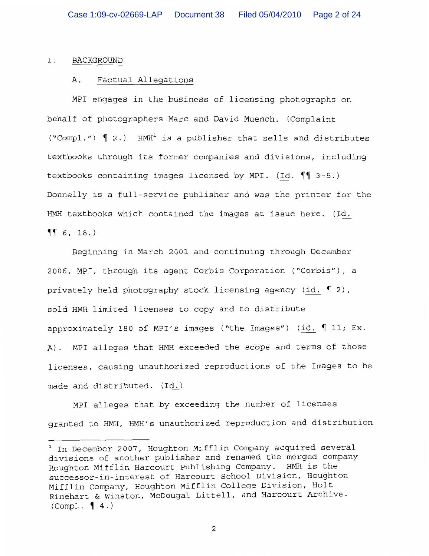### $I.$ BACKGROUND

## Factual Allegations Α.

MPI engages in the business of licensing photographs on behalf of photographers Marc and David Muench. (Complaint ("Compl.")  $\left(\begin{array}{cc} 2. \end{array}\right)$  HMH<sup>1</sup> is a publisher that sells and distributes textbooks through its former companies and divisions, including textbooks containing images licensed by MPI. (Id.  $\P$  3-5.) Donnelly is a full-service publisher and was the printer for the HMH textbooks which contained the images at issue here. (Id.  $\P\P$  6, 18.)

Beginning in March 2001 and continuing through December 2006, MPI, through its agent Corbis Corporation ("Corbis"), a privately held photography stock licensing agency (id. 12), sold HMH limited licenses to copy and to distribute approximately 180 of MPI's images ("the Images") (id.  $\P$  11; Ex. A). MPI alleges that HMH exceeded the scope and terms of those licenses, causing unauthorized reproductions of the Images to be made and distributed. (Id.)

MPI alleges that by exceeding the number of licenses granted to HMH, HMH's unauthorized reproduction and distribution

<sup>&</sup>lt;sup>1</sup> In December 2007, Houghton Mifflin Company acquired several divisions of another publisher and renamed the merged company Houghton Mifflin Harcourt Publishing Company. HMH is the successor-in-interest of Harcourt School Division, Houghton Mifflin Company, Houghton Mifflin College Division, Holt Rinehart & Winston, McDougal Littell, and Harcourt Archive.  $(Compl. \ \ \ \ \ \ \ \ \ \ 4.)$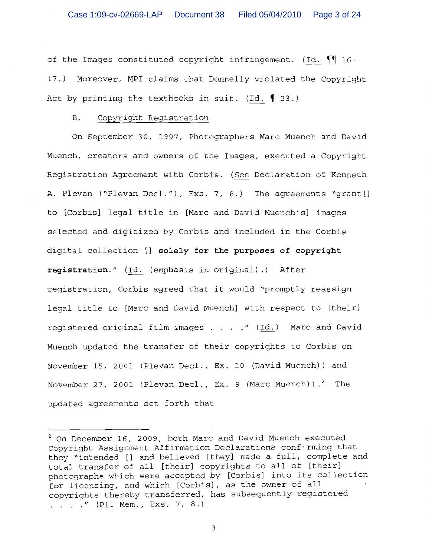of the Images constituted copyright infringement. (Id. 11 16-17.) Moreover, MPI claims that Donnelly violated the Copyright Act by printing the textbooks in suit. (Id.  $\llbracket 23. \rrbracket$ 

## Copyright Registration **B**.

On September 30, 1997, Photographers Marc Muench and David Muench, creators and owners of the Images, executed a Copyright Registration Agreement with Corbis. (See Declaration of Kenneth A. Plevan ("Plevan Decl."), Exs. 7, 8.) The agreements "grant [] to [Corbis] legal title in [Marc and David Muench's] images selected and digitized by Corbis and included in the Corbis digital collection [] solely for the purposes of copyright registration." (Id. (emphasis in original).) After registration, Corbis agreed that it would "promptly reassign legal title to [Marc and David Muench] with respect to [their] registered original film images . . . . " (Id.) Marc and David Muench updated the transfer of their copyrights to Corbis on November 15, 2001 (Plevan Decl., Ex. 10 (David Muench)) and November 27, 2001 (Plevan Decl., Ex. 9 (Marc Muench)).<sup>2</sup> The updated agreements set forth that

<sup>&</sup>lt;sup>2</sup> On December 16, 2009, both Marc and David Muench executed Copyright Assignment Affirmation Declarations confirming that they "intended [] and believed [they] made a full, complete and total transfer of all [their] copyrights to all of [their] photographs which were accepted by [Corbis] into its collection for licensing, and which [Corbis], as the owner of all copyrights thereby transferred, has subsequently registered . . . . " (Pl. Mem., Exs. 7, 8.)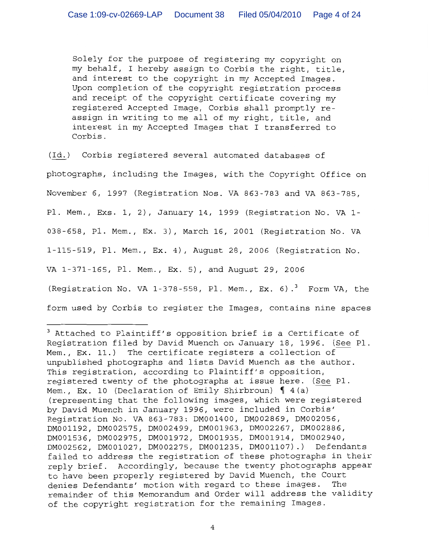Solely for the purpose of registering my copyright on my behalf, I hereby assign to Corbis the right, title, and interest to the copyright in my Accepted Images. Upon completion of the copyright registration process and receipt of the copyright certificate covering my registered Accepted Image, Corbis shall promptly reassign in writing to me all of my right, title, and interest in my Accepted Images that I transferred to Corbis.

(Id.) Corbis registered several automated databases of photographs, including the Images, with the Copyright Office on November 6, 1997 (Registration Nos. VA 863-783 and VA 863-785, Pl. Mem., Exs. 1, 2), January 14, 1999 (Registration No. VA 1-038-658, Pl. Mem., Ex. 3), March 16, 2001 (Reqistration No. VA 1-115-519, Pl. Mem., Ex. 4), August 28, 2006 (Registration No. VA 1-371-165, Pl. Mem., Ex. 5), and August 29, 2006 (Registration No. VA 1-378-558, Pl. Mem., Ex. 6).<sup>3</sup> Form VA, the form used by Corbis to register the Images, contains nine spaces

<sup>&</sup>lt;sup>3</sup> Attached to Plaintiff's opposition brief is a Certificate of Registration filed by David Muench on January 18, 1996. (See Pl. Mem., Ex. 11.) The certificate registers a collection of unpublished photographs and lists David Muench as the author. This registration, according to Plaintiff's opposition, registered twenty of the photographs at issue here. (See Pl. Mem., Ex. 10 (Declaration of Emily Shirbroun)  $\int 4(a)$ (representing that the following images, which were registered by David Muench in January 1996, were included in Corbis' Registration No. VA 863-783: DM001400, DM002869, DM002056, DM001192, DM002575, DM002499, DM001963, DM002267, DM002886, DM001536, DM002975, DM001972, DM001935, DM001914, DM002940, DM002562, DM001027, DM002275, DM001235, DM001107).) Defendants failed to address the registration of these photographs in their reply brief. Accordingly, because the twenty photographs appear to have been properly registered by David Muench, the Court denies Defendants' motion with regard to these images. The remainder of this Memorandum and Order will address the validity of the copyright registration for the remaining Images.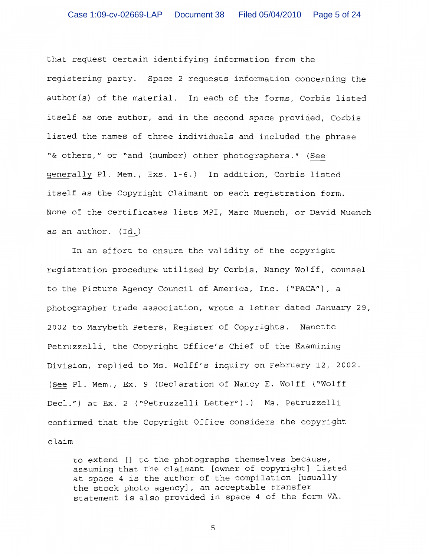that request certain identifying information from the registering party. Space 2 requests information concerning the author(s) of the material. In each of the forms, Corbis listed itself as one author, and in the second space provided, Corbis listed the names of three individuals and included the phrase "& others," or "and (number) other photographers." (See generally Pl. Mem., Exs. 1-6.) In addition, Corbis listed itself as the Copyright Claimant on each registration form. None of the certificates lists MPI, Marc Muench, or David Muench as an author. (Id.)

In an effort to ensure the validity of the copyright reqistration procedure utilized by Corbis, Nancy Wolff, counsel to the Picture Agency Council of America, Inc. ("PACA"), a photographer trade association, wrote a letter dated January 29, 2002 to Marybeth Peters, Register of Copyrights. Nanette Petruzzelli, the Copyright Office's Chief of the Examining Division, replied to Ms. Wolff's inquiry on February 12, 2002. (See Pl. Mem., Ex. 9 (Declaration of Nancy E. Wolff ("Wolff Decl.") at Ex. 2 ("Petruzzelli Letter").) Ms. Petruzzelli confirmed that the Copyright Office considers the copyright claim

to extend [] to the photographs themselves because, assuming that the claimant [owner of copyright] listed at space 4 is the author of the compilation [usually the stock photo agency], an acceptable transfer statement is also provided in space 4 of the form VA.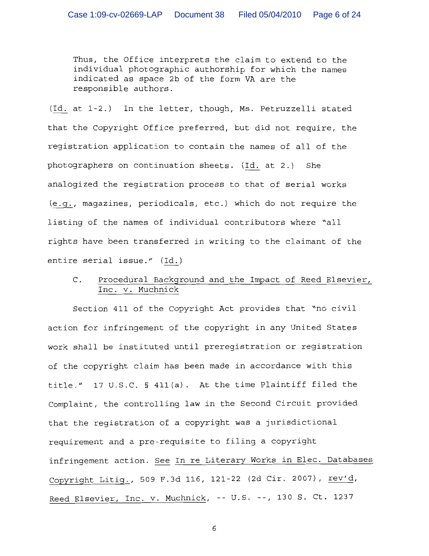Thus, the Office interprets the claim to extend to the individual photographic authorship for which the names indicated as space 2b of the form VA are the responsible authors.

(Id. at 1-2.) In the letter, though, Ms. Petruzzelli stated that the Copyright Office preferred, but did not require, the registration application to contain the names of all of the photographers on continuation sheets. (Id. at 2.) She analogized the registration process to that of serial works (e.g., magazines, periodicals, etc.) which do not require the listing of the names of individual contributors where "all rights have been transferred in writing to the claimant of the entire serial issue." (Id.)

 $C_{\cdot}$ Procedural Background and the Impact of Reed Elsevier, Inc. v. Muchnick

Section 411 of the Copyright Act provides that "no civil action for infringement of the copyright in any United States work shall be instituted until prereqistration or registration of the copyright claim has been made in accordance with this title." 17 U.S.C. § 411(a). At the time Plaintiff filed the Complaint, the controlling law in the Second Circuit provided that the registration of a copyright was a jurisdictional requirement and a pre-requisite to filing a copyright infringement action. See In re Literary Works in Elec. Databases Copyright Litig., 509 F.3d 116, 121-22 (2d Cir. 2007), rev'd, Reed Elsevier, Inc. v. Muchnick, -- U.S. --, 130 S. Ct. 1237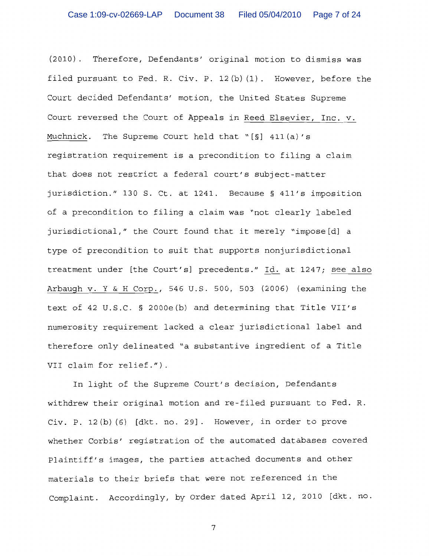(2010). Therefore, Defendants' original motion to dismiss was filed pursuant to Fed. R. Civ. P. 12(b)(1). However, before the Court decided Defendants' motion, the United States Supreme Court reversed the Court of Appeals in Reed Elsevier, Inc. v. The Supreme Court held that " $[S]$  411(a)'s Muchnick. registration requirement is a precondition to filing a claim that does not restrict a federal court's subject-matter jurisdiction." 130 S. Ct. at 1241. Because § 411's imposition of a precondition to filing a claim was "not clearly labeled jurisdictional," the Court found that it merely "impose[d] a type of precondition to suit that supports nonjurisdictional treatment under [the Court's] precedents." Id. at 1247; see also Arbaugh v. Y & H Corp., 546 U.S. 500, 503 (2006) (examining the text of 42 U.S.C. § 2000e(b) and determining that Title VII's numerosity requirement lacked a clear jurisdictional label and therefore only delineated "a substantive ingredient of a Title VII claim for relief.").

In light of the Supreme Court's decision, Defendants withdrew their original motion and re-filed pursuant to Fed. R. Civ. P. 12(b)(6) [dkt. no. 29]. However, in order to prove whether Corbis' registration of the automated databases covered Plaintiff's images, the parties attached documents and other materials to their briefs that were not referenced in the Complaint. Accordingly, by Order dated April 12, 2010 [dkt. no.

 $\overline{7}$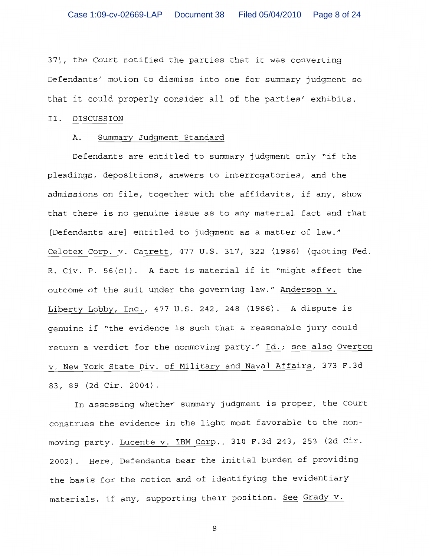37], the Court notified the parties that it was converting Defendants' motion to dismiss into one for summary judgment so that it could properly consider all of the parties' exhibits.

### II. DISCUSSION

## Summary Judqment Standard Α.

Defendants are entitled to summary judgment only "if the pleadings, depositions, answers to interrogatories, and the admissions on file, together with the affidavits, if any, show that there is no genuine issue as to any material fact and that [Defendants are] entitled to judgment as a matter of law." Celotex Corp. v. Catrett, 477 U.S. 317, 322 (1986) (quoting Fed. R. Civ. P. 56(c)). A fact is material if it "might affect the outcome of the suit under the governing law." Anderson v. Liberty Lobby, Inc., 477 U.S. 242, 248 (1986). A dispute is genuine if "the evidence is such that a reasonable jury could return a verdict for the nonmoving party." Id.; see also Overton v. New York State Div. of Military and Naval Affairs, 373 F.3d 83, 89 (2d Cir. 2004).

In assessing whether summary judgment is proper, the Court construes the evidence in the light most favorable to the nonmoving party. Lucente v. IBM Corp., 310 F.3d 243, 253 (2d Cir. 2002). Here, Defendants bear the initial burden of providing the basis for the motion and of identifying the evidentiary materials, if any, supporting their position. See Grady v.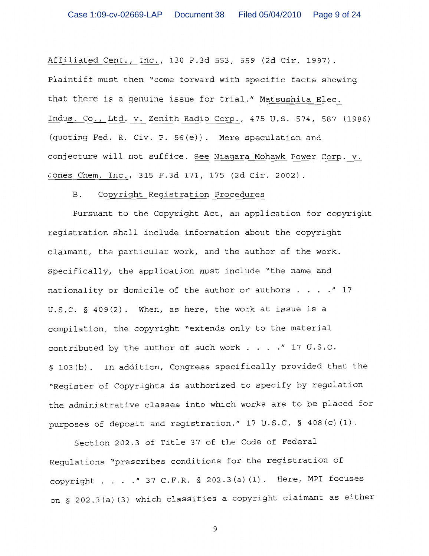Affiliated Cent., Inc., 130 F.3d 553, 559 (2d Cir. 1997). Plaintiff must then "come forward with specific facts showing that there is a genuine issue for trial." Matsushita Elec. Indus. Co., Ltd. v. Zenith Radio Corp., 475 U.S. 574, 587 (1986) (quoting Fed. R. Civ. P. 56(e)). Mere speculation and conjecture will not suffice. See Niagara Mohawk Power Corp. v. Jones Chem. Inc., 315 F.3d 171, 175 (2d Cir. 2002).

#### **B**. Copyright Registration Procedures

Pursuant to the Copyright Act, an application for copyright registration shall include information about the copyright claimant, the particular work, and the author of the work. Specifically, the application must include "the name and nationality or domicile of the author or authors  $\ldots$  ... " 17 U.S.C.  $\S$  409(2). When, as here, the work at issue is a compilation, the copyright "extends only to the material contributed by the author of such work . . . . " 17 U.S.C. § 103(b). In addition, Congress specifically provided that the "Register of Copyrights is authorized to specify by regulation the administrative classes into which works are to be placed for purposes of deposit and registration." 17 U.S.C. § 408(c)(1).

Section 202.3 of Title 37 of the Code of Federal Regulations "prescribes conditions for the registration of copyright . . . . " 37 C.F.R. § 202.3(a)(1). Here, MPI focuses on § 202.3(a)(3) which classifies a copyright claimant as either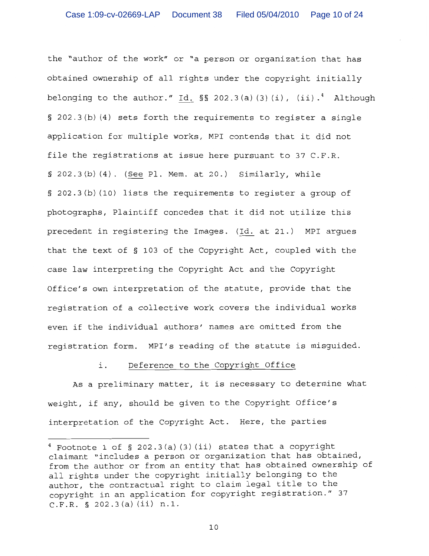the "author of the work" or "a person or organization that has obtained ownership of all rights under the copyright initially belonging to the author." Id.  $\S$  202.3(a)(3)(i), (ii).<sup>4</sup> Although § 202.3(b)(4) sets forth the requirements to register a single application for multiple works, MPI contends that it did not file the registrations at issue here pursuant to 37 C.F.R.  $\S$  202.3(b)(4). (See Pl. Mem. at 20.) Similarly, while § 202.3(b)(10) lists the requirements to register a group of photographs, Plaintiff concedes that it did not utilize this precedent in registering the Images. (Id. at 21.) MPI argues that the text of § 103 of the Copyright Act, coupled with the case law interpreting the Copyright Act and the Copyright Office's own interpretation of the statute, provide that the reqistration of a collective work covers the individual works even if the individual authors' names are omitted from the registration form. MPI's reading of the statute is misquided.

#### $\mathbf{i}$ . Deference to the Copyright Office

As a preliminary matter, it is necessary to determine what weight, if any, should be given to the Copyright Office's interpretation of the Copyright Act. Here, the parties

 $4$  Footnote 1 of § 202.3(a)(3)(ii) states that a copyright claimant "includes a person or organization that has obtained, from the author or from an entity that has obtained ownership of all rights under the copyright initially belonging to the author, the contractual right to claim legal title to the copyright in an application for copyright registration." 37 C.F.R. § 202.3(a)(ii) n.1.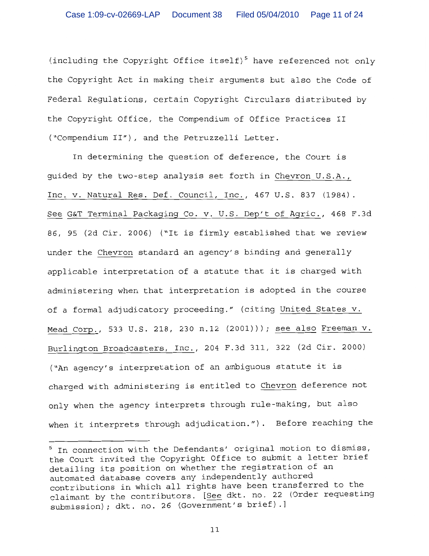(including the Copyright Office itself)<sup>5</sup> have referenced not only the Copyright Act in making their arguments but also the Code of Federal Regulations, certain Copyright Circulars distributed by the Copyright Office, the Compendium of Office Practices II ("Compendium II"), and the Petruzzelli Letter.

In determining the question of deference, the Court is quided by the two-step analysis set forth in Chevron U.S.A., Inc. v. Natural Res. Def. Council, Inc., 467 U.S. 837 (1984). See G&T Terminal Packaging Co. v. U.S. Dep't of Agric., 468 F.3d 86, 95 (2d Cir. 2006) ("It is firmly established that we review under the Chevron standard an agency's binding and generally applicable interpretation of a statute that it is charged with administering when that interpretation is adopted in the course of a formal adjudicatory proceeding." (citing United States v. Mead Corp., 533 U.S. 218, 230 n.12 (2001))); see also Freeman v. Burlington Broadcasters, Inc., 204 F.3d 311, 322 (2d Cir. 2000) ("An agency's interpretation of an ambiguous statute it is charged with administering is entitled to Chevron deference not only when the agency interprets through rule-making, but also when it interprets through adjudication."). Before reaching the

<sup>&</sup>lt;sup>5</sup> In connection with the Defendants' original motion to dismiss, the Court invited the Copyright Office to submit a letter brief detailing its position on whether the registration of an automated database covers any independently authored contributions in which all rights have been transferred to the claimant by the contributors. [See dkt. no. 22 (Order requesting submission); dkt. no. 26 (Government's brief).]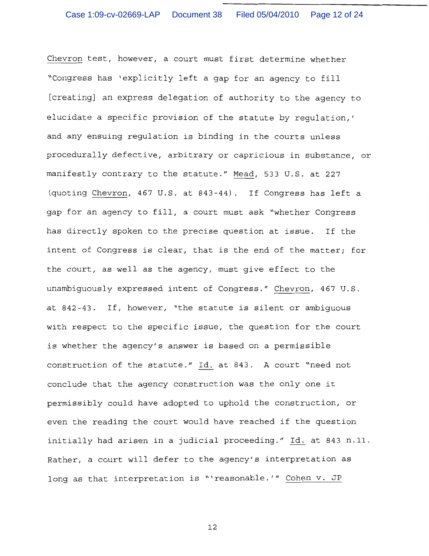Chevron test, however, a court must first determine whether "Congress has 'explicitly left a gap for an agency to fill [creating] an express delegation of authority to the agency to elucidate a specific provision of the statute by requlation,' and any ensuing regulation is binding in the courts unless procedurally defective, arbitrary or capricious in substance, or manifestly contrary to the statute." Mead, 533 U.S. at 227 (quoting Chevron, 467 U.S. at 843-44). If Congress has left a gap for an agency to fill, a court must ask "whether Congress has directly spoken to the precise question at issue. If the intent of Congress is clear, that is the end of the matter; for the court, as well as the agency, must give effect to the unambiquously expressed intent of Congress." Chevron, 467 U.S. at 842-43. If, however, "the statute is silent or ambiguous with respect to the specific issue, the question for the court is whether the agency's answer is based on a permissible construction of the statute." Id. at 843. A court "need not conclude that the agency construction was the only one it permissibly could have adopted to uphold the construction, or even the reading the court would have reached if the question initially had arisen in a judicial proceeding." Id. at 843 n.11. Rather, a court will defer to the agency's interpretation as long as that interpretation is "'reasonable.'" Cohen v. JP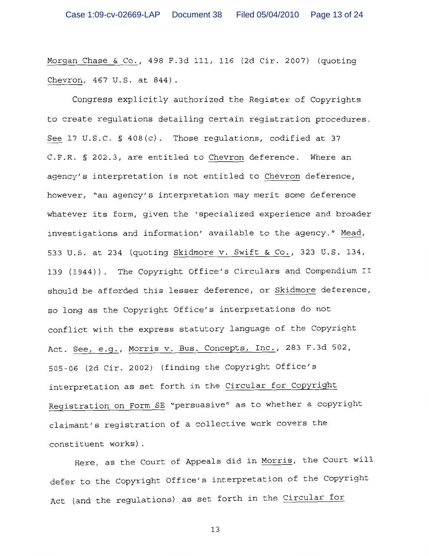Morgan Chase & Co., 498 F.3d 111, 116 (2d Cir. 2007) (quoting Chevron, 467 U.S. at 844).

Congress explicitly authorized the Register of Copyrights to create regulations detailing certain registration procedures. See 17 U.S.C. § 408(c). Those regulations, codified at 37 C.F.R. § 202.3, are entitled to Chevron deference. Where an agency's interpretation is not entitled to Chevron deference, however, "an agency's interpretation may merit some deference whatever its form, given the 'specialized experience and broader investigations and information' available to the agency." Mead, 533 U.S. at 234 (quoting Skidmore v. Swift & Co., 323 U.S. 134, 139 (1944)). The Copyright Office's Circulars and Compendium II should be afforded this lesser deference, or Skidmore deference, so long as the Copyright Office's interpretations do not conflict with the express statutory language of the Copyright Act. See, e.g., Morris v. Bus. Concepts, Inc., 283 F.3d 502, 505-06 (2d Cir. 2002) (finding the Copyright Office's interpretation as set forth in the Circular for Copyright Reqistration on Form SE "persuasive" as to whether a copyright claimant's registration of a collective work covers the constituent works).

Here, as the Court of Appeals did in Morris, the Court will defer to the Copyright Office's interpretation of the Copyright Act (and the regulations) as set forth in the Circular for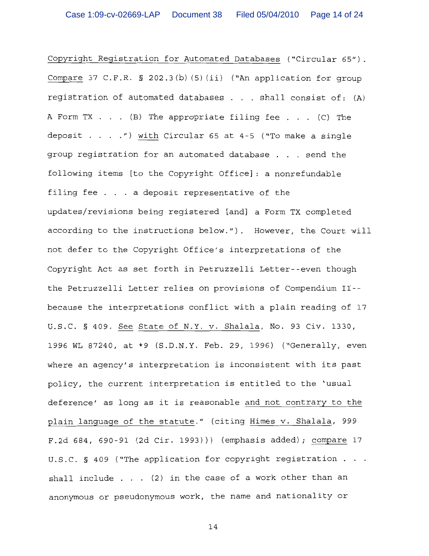Copyright Registration for Automated Databases ("Circular 65"). Compare 37 C.F.R. § 202.3(b)(5)(ii) ("An application for group registration of automated databases . . . shall consist of: (A) A Form TX  $\ldots$  (B) The appropriate filing fee  $\ldots$  (C) The deposit . . . . ") with Circular 65 at 4-5 ("To make a single group registration for an automated database . . . send the following items [to the Copyright Office]: a nonrefundable filing fee . . . a deposit representative of the updates/revisions being registered [and] a Form TX completed according to the instructions below."). However, the Court will not defer to the Copyright Office's interpretations of the Copyright Act as set forth in Petruzzelli Letter--even though the Petruzzelli Letter relies on provisions of Compendium II-because the interpretations conflict with a plain reading of 17 U.S.C. § 409. See State of N.Y. v. Shalala, No. 93 Civ. 1330, 1996 WL 87240, at \*9 (S.D.N.Y. Feb. 29, 1996) ("Generally, even where an agency's interpretation is inconsistent with its past policy, the current interpretation is entitled to the 'usual deference' as long as it is reasonable and not contrary to the plain language of the statute." (citing Himes v. Shalala, 999 F.2d 684, 690-91 (2d Cir. 1993))) (emphasis added); compare 17 U.S.C. § 409 ("The application for copyright registration . . . shall include  $\ldots$  (2) in the case of a work other than an anonymous or pseudonymous work, the name and nationality or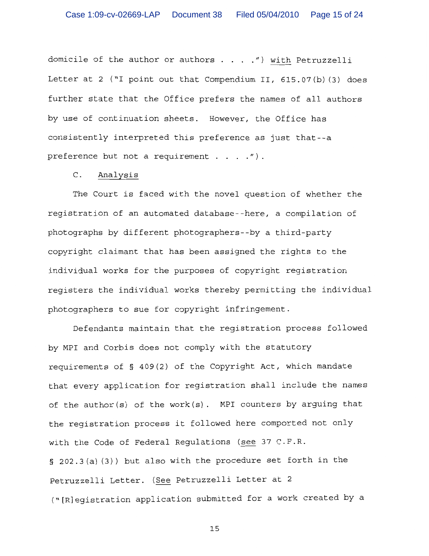domicile of the author or authors . . . . ") with Petruzzelli Letter at 2 ("I point out that Compendium II, 615.07(b) (3) does further state that the Office prefers the names of all authors by use of continuation sheets. However, the Office has consistently interpreted this preference as just that--a preference but not a requirement  $\ldots$  ...  $'$ ).

#### $\mathsf{C}$  . Analysis

The Court is faced with the novel question of whether the registration of an automated database--here, a compilation of photographs by different photographers--by a third-party copyright claimant that has been assigned the rights to the individual works for the purposes of copyright registration registers the individual works thereby permitting the individual photographers to sue for copyright infringement.

Defendants maintain that the registration process followed by MPI and Corbis does not comply with the statutory requirements of § 409(2) of the Copyright Act, which mandate that every application for registration shall include the names of the author(s) of the work(s). MPI counters by arguing that the registration process it followed here comported not only with the Code of Federal Requlations (see 37 C.F.R. § 202.3(a)(3)) but also with the procedure set forth in the Petruzzelli Letter. (See Petruzzelli Letter at 2 ("[R]egistration application submitted for a work created by a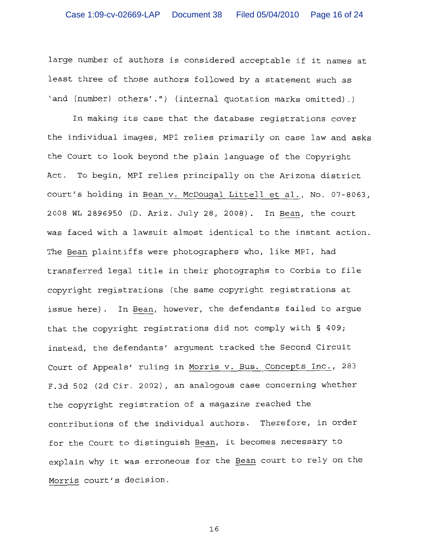large number of authors is considered acceptable if it names at least three of those authors followed by a statement such as 'and (number) others'.") (internal quotation marks omitted).)

In making its case that the database registrations cover the individual images, MPI relies primarily on case law and asks the Court to look beyond the plain language of the Copyright Act. To begin, MPI relies principally on the Arizona district court's holding in Bean v. McDougal Littell et al., No. 07-8063, 2008 WL 2896950 (D. Ariz. July 28, 2008). In Bean, the court was faced with a lawsuit almost identical to the instant action. The Bean plaintiffs were photographers who, like MPI, had transferred legal title in their photographs to Corbis to file copyright registrations (the same copyright registrations at issue here). In Bean, however, the defendants failed to argue that the copyright registrations did not comply with § 409; instead, the defendants' argument tracked the Second Circuit Court of Appeals' ruling in Morris v. Bus. Concepts Inc., 283 F.3d 502 (2d Cir. 2002), an analogous case concerning whether the copyright registration of a magazine reached the contributions of the individual authors. Therefore, in order for the Court to distinguish Bean, it becomes necessary to explain why it was erroneous for the Bean court to rely on the Morris court's decision.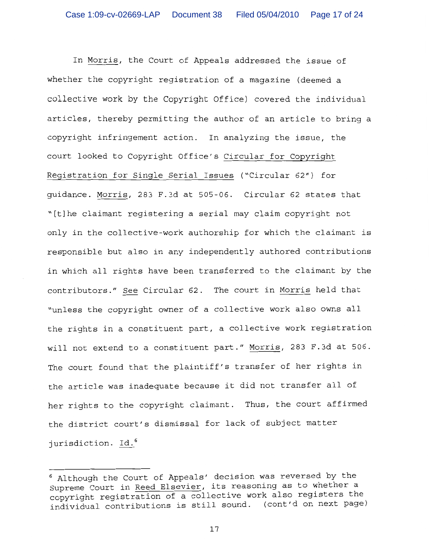In Morris, the Court of Appeals addressed the issue of whether the copyright registration of a magazine (deemed a collective work by the Copyright Office) covered the individual articles, thereby permitting the author of an article to bring a copyright infringement action. In analyzing the issue, the court looked to Copyright Office's Circular for Copyright Registration for Single Serial Issues ("Circular 62") for quidance. Morris, 283 F.3d at 505-06. Circular 62 states that "[t]he claimant registering a serial may claim copyright not only in the collective-work authorship for which the claimant is responsible but also in any independently authored contributions in which all rights have been transferred to the claimant by the contributors." See Circular 62. The court in Morris held that "unless the copyright owner of a collective work also owns all the rights in a constituent part, a collective work registration will not extend to a constituent part." Morris, 283 F.3d at 506. The court found that the plaintiff's transfer of her rights in the article was inadequate because it did not transfer all of her rights to the copyright claimant. Thus, the court affirmed the district court's dismissal for lack of subject matter jurisdiction. Id.<sup>6</sup>

<sup>&</sup>lt;sup>6</sup> Although the Court of Appeals' decision was reversed by the Supreme Court in Reed Elsevier, its reasoning as to whether a copyright registration of a collective work also registers the copyright registration of a corrective mean about the set page)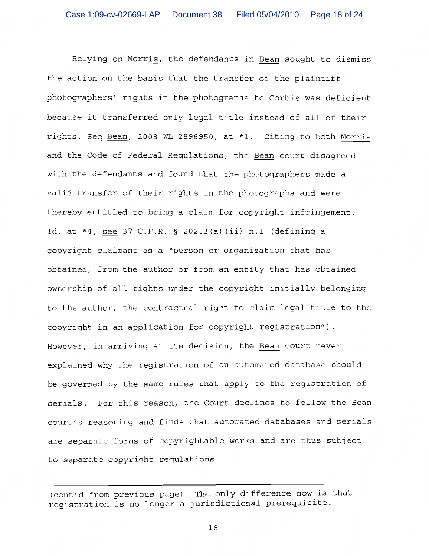Relying on Morris, the defendants in Bean sought to dismiss the action on the basis that the transfer of the plaintiff photographers' rights in the photographs to Corbis was deficient because it transferred only legal title instead of all of their rights. See Bean, 2008 WL 2896950, at \*1. Citing to both Morris and the Code of Federal Requlations, the Bean court disagreed with the defendants and found that the photographers made a valid transfer of their rights in the photographs and were thereby entitled to bring a claim for copyright infringement. Id. at \*4; see 37 C.F.R. § 202.3(a)(ii) n.1 (defining a copyright claimant as a "person or organization that has obtained, from the author or from an entity that has obtained ownership of all rights under the copyright initially belonging to the author, the contractual right to claim legal title to the copyright in an application for copyright registration"). However, in arriving at its decision, the Bean court never explained why the registration of an automated database should be governed by the same rules that apply to the registration of serials. For this reason, the Court declines to follow the Bean court's reasoning and finds that automated databases and serials are separate forms of copyrightable works and are thus subject to separate copyright regulations.

The only difference now is that (cont'd from previous page) registration is no longer a jurisdictional prerequisite.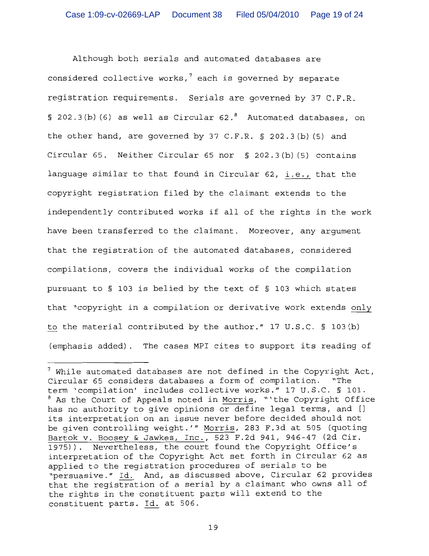Although both serials and automated databases are considered collective works, $^7$  each is governed by separate registration requirements. Serials are governed by 37 C.F.R. § 202.3(b)(6) as well as Circular  $62.^8$  Automated databases, on the other hand, are governed by 37 C.F.R.  $\S$  202.3(b)(5) and Circular 65. Neither Circular 65 nor § 202.3(b)(5) contains language similar to that found in Circular 62, i.e., that the copyright registration filed by the claimant extends to the independently contributed works if all of the rights in the work have been transferred to the claimant. Moreover, any arqument that the reqistration of the automated databases, considered compilations, covers the individual works of the compilation pursuant to § 103 is belied by the text of § 103 which states that "copyright in a compilation or derivative work extends only to the material contributed by the author." 17 U.S.C. § 103(b) (emphasis added). The cases MPI cites to support its reading of

 $^7$  While automated databases are not defined in the Copyright Act, Circular 65 considers databases a form of compilation. "The term 'compilation' includes collective works." 17 U.S.C. § 101. <sup>8</sup> As the Court of Appeals noted in Morris, "'the Copyright Office has no authority to give opinions or define legal terms, and [] its interpretation on an issue never before decided should not be qiven controlling weight.'" Morris, 283 F.3d at 505 (quoting Bartok v. Boosey & Jawkes, Inc., 523 F.2d 941, 946-47 (2d Cir. 1975)). Nevertheless, the court found the Copyright Office's interpretation of the Copyright Act set forth in Circular 62 as applied to the registration procedures of serials to be "persuasive." Id. And, as discussed above, Circular 62 provides that the registration of a serial by a claimant who owns all of the rights in the constituent parts will extend to the constituent parts. Id. at 506.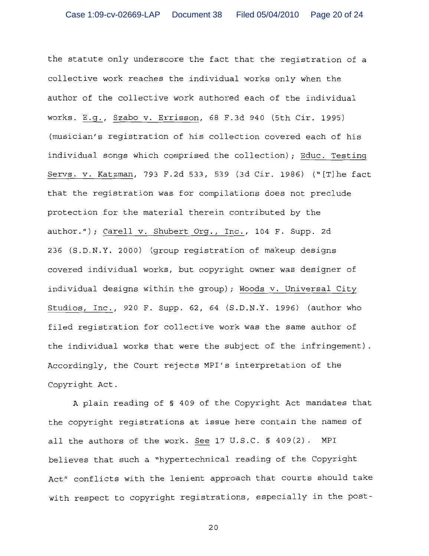the statute only underscore the fact that the registration of a collective work reaches the individual works only when the author of the collective work authored each of the individual works. E.q., Szabo v. Errisson, 68 F.3d 940 (5th Cir. 1995) (musician's registration of his collection covered each of his individual songs which comprised the collection); Educ. Testing Servs. v. Katzman, 793 F.2d 533, 539 (3d Cir. 1986) ("[T] he fact that the registration was for compilations does not preclude protection for the material therein contributed by the author."); Carell v. Shubert Org., Inc., 104 F. Supp. 2d 236 (S.D.N.Y. 2000) (group registration of makeup designs covered individual works, but copyright owner was designer of individual designs within the group); Woods v. Universal City Studios, Inc., 920 F. Supp. 62, 64 (S.D.N.Y. 1996) (author who filed registration for collective work was the same author of the individual works that were the subject of the infringement). Accordingly, the Court rejects MPI's interpretation of the Copyright Act.

A plain reading of § 409 of the Copyright Act mandates that the copyright registrations at issue here contain the names of all the authors of the work. See 17 U.S.C. § 409(2). MPI believes that such a "hypertechnical reading of the Copyright Act" conflicts with the lenient approach that courts should take with respect to copyright registrations, especially in the post-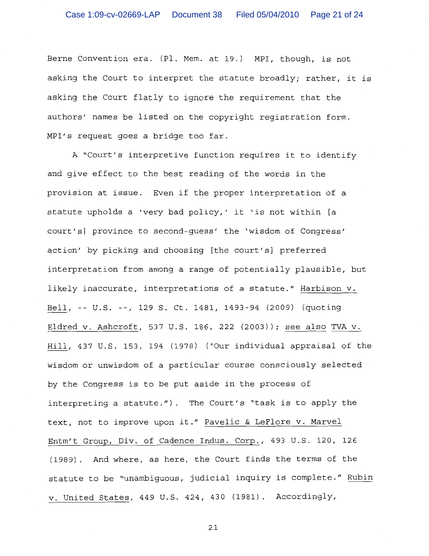Berne Convention era. (Pl. Mem. at 19.) MPI, though, is not asking the Court to interpret the statute broadly; rather, it is asking the Court flatly to ignore the requirement that the authors' names be listed on the copyright registration form. MPI's request goes a bridge too far.

A "Court's interpretive function requires it to identify and give effect to the best reading of the words in the provision at issue. Even if the proper interpretation of a statute upholds a 'very bad policy,' it 'is not within [a court's] province to second-guess' the 'wisdom of Congress' action' by picking and choosing [the court's] preferred interpretation from among a range of potentially plausible, but likely inaccurate, interpretations of a statute." Harbison v. Bell, -- U.S. --, 129 S. Ct. 1481, 1493-94 (2009) (quoting Eldred v. Ashcroft, 537 U.S. 186, 222 (2003)); see also TVA v. Hill, 437 U.S. 153, 194 (1978) ("Our individual appraisal of the wisdom or unwisdom of a particular course consciously selected by the Congress is to be put aside in the process of interpreting a statute."). The Court's "task is to apply the text, not to improve upon it." Pavelic & LeFlore v. Marvel Entm't Group, Div. of Cadence Indus. Corp., 493 U.S. 120, 126 (1989). And where, as here, the Court finds the terms of the statute to be "unambiguous, judicial inquiry is complete." Rubin v. United States, 449 U.S. 424, 430 (1981). Accordingly,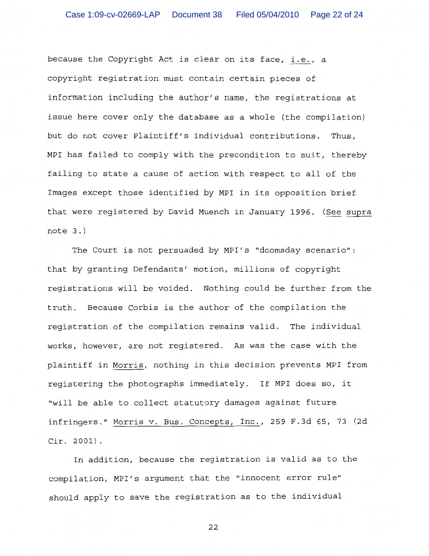because the Copyright Act is clear on its face, i.e., a copyright registration must contain certain pieces of information including the author's name, the registrations at issue here cover only the database as a whole (the compilation) but do not cover Plaintiff's individual contributions. Thus, MPI has failed to comply with the precondition to suit, thereby failing to state a cause of action with respect to all of the Images except those identified by MPI in its opposition brief that were registered by David Muench in January 1996. (See supra  $note 3.)$ 

The Court is not persuaded by MPI's "doomsday scenario": that by granting Defendants' motion, millions of copyright registrations will be voided. Nothing could be further from the truth. Because Corbis is the author of the compilation the reqistration of the compilation remains valid. The individual works, however, are not reqistered. As was the case with the plaintiff in Morris, nothing in this decision prevents MPI from registering the photographs immediately. If MPI does so, it "will be able to collect statutory damages against future infringers." Morris v. Bus. Concepts, Inc., 259 F.3d 65, 73 (2d  $Cir. 2001$ .

In addition, because the registration is valid as to the compilation, MPI's argument that the "innocent error rule" should apply to save the registration as to the individual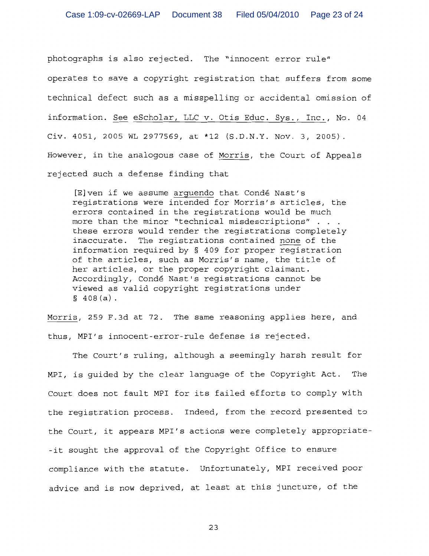photographs is also rejected. The "innocent error rule" operates to save a copyright registration that suffers from some technical defect such as a misspelling or accidental omission of information. See eScholar, LLC v. Otis Educ. Sys., Inc., No. 04 Civ. 4051, 2005 WL 2977569, at \*12 (S.D.N.Y. Nov. 3, 2005). However, in the analogous case of Morris, the Court of Appeals rejected such a defense finding that

[E] ven if we assume arguendo that Condé Nast's reqistrations were intended for Morris's articles, the errors contained in the registrations would be much more than the minor "technical misdescriptions" . . . these errors would render the registrations completely inaccurate. The registrations contained none of the information required by § 409 for proper reqistration of the articles, such as Morris's name, the title of her articles, or the proper copyright claimant. Accordingly, Condé Nast's registrations cannot be viewed as valid copyright registrations under  $$408(a).$ 

Morris, 259 F.3d at 72. The same reasoning applies here, and thus, MPI's innocent-error-rule defense is rejected.

The Court's ruling, although a seemingly harsh result for MPI, is quided by the clear language of the Copyright Act. The Court does not fault MPI for its failed efforts to comply with the reqistration process. Indeed, from the record presented to the Court, it appears MPI's actions were completely appropriate--it sought the approval of the Copyright Office to ensure compliance with the statute. Unfortunately, MPI received poor advice and is now deprived, at least at this juncture, of the